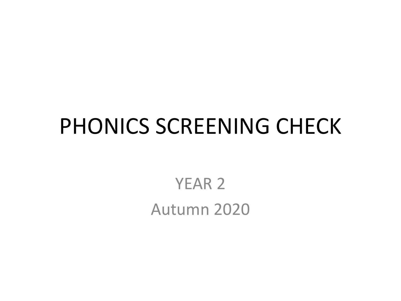#### PHONICS SCREENING CHECK

YEAR 2 Autumn 2020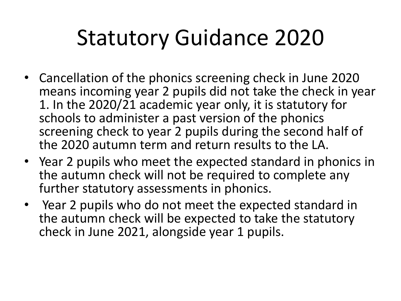## Statutory Guidance 2020

- Cancellation of the phonics screening check in June 2020 means incoming year 2 pupils did not take the check in year 1. In the 2020/21 academic year only, it is statutory for schools to administer a past version of the phonics screening check to year 2 pupils during the second half of the 2020 autumn term and return results to the LA.
- Year 2 pupils who meet the expected standard in phonics in the autumn check will not be required to complete any further statutory assessments in phonics.
- Year 2 pupils who do not meet the expected standard in the autumn check will be expected to take the statutory check in June 2021, alongside year 1 pupils.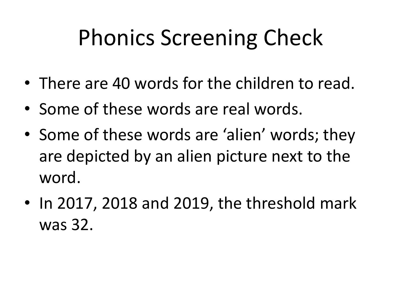## Phonics Screening Check

- There are 40 words for the children to read.
- Some of these words are real words.
- Some of these words are 'alien' words; they are depicted by an alien picture next to the word.
- In 2017, 2018 and 2019, the threshold mark was 32.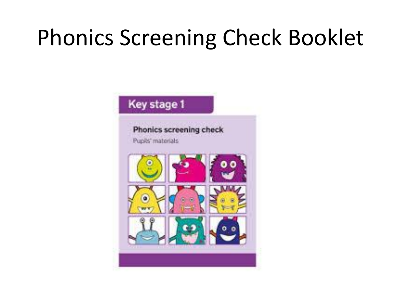## Phonics Screening Check Booklet

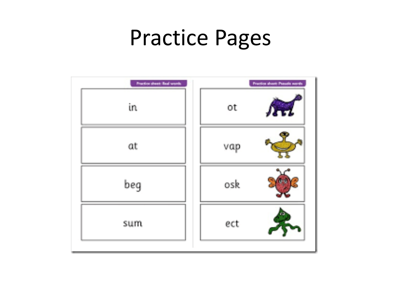#### Practice Pages

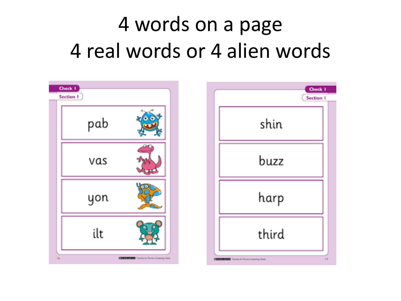#### 4 words on a page 4 real words or 4 alien words

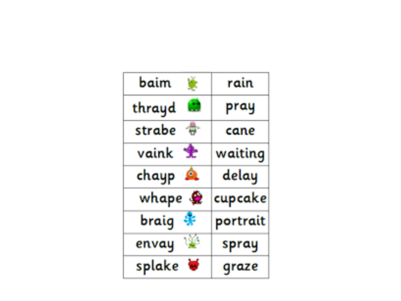| baim        | rain     |
|-------------|----------|
| thrayd      | pray     |
| strabe      | cane     |
| vaink       | waiting  |
| chayp<br>2, | delay    |
| whape       | cupcake  |
| braig       | portrait |
| 壞<br>envay  | spray    |
| splake      | graze    |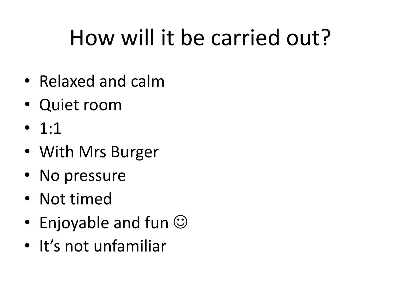# How will it be carried out?

- Relaxed and calm
- Quiet room
- $\bullet$  1:1
- With Mrs Burger
- No pressure
- Not timed
- Enjoyable and fun  $\odot$
- It's not unfamiliar